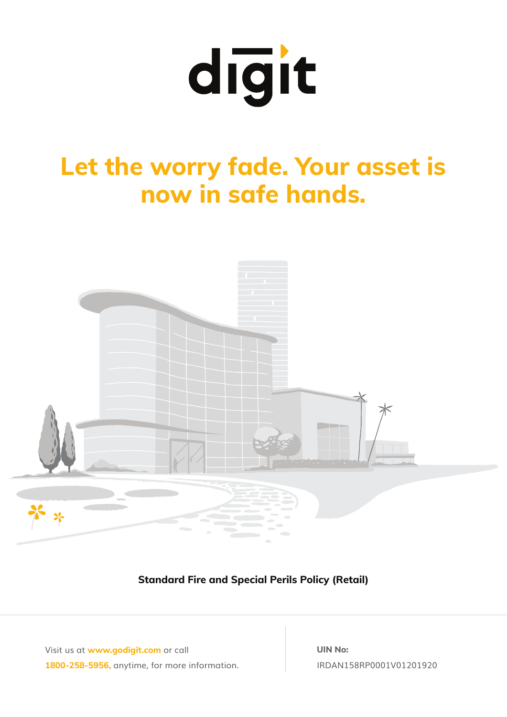

# **Let the worry fade. Your asset is now in safe hands.**



**Standard Fire and Special Perils Policy (Retail)**

Visit us at **www.godigit.com** or call **1800-258-5956,** anytime, for more information. **UIN No:** IRDAN158RP0001V01201920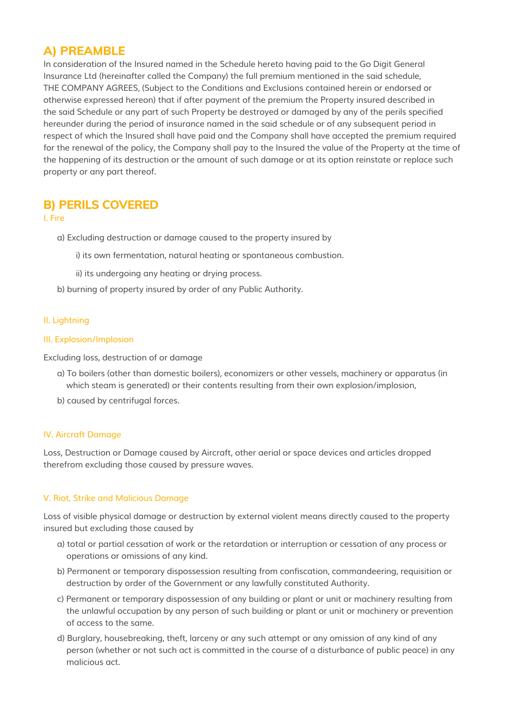# **A) PREAMBLE**

In consideration of the Insured named in the Schedule hereto having paid to the Go Digit General Insurance Ltd (hereinafter called the Company) the full premium mentioned in the said schedule, THE COMPANY AGREES, (Subject to the Conditions and Exclusions contained herein or endorsed or otherwise expressed hereon) that if after payment of the premium the Property insured described in the said Schedule or any part of such Property be destroyed or damaged by any of the perils specified hereunder during the period of insurance named in the said schedule or of any subsequent period in respect of which the Insured shall have paid and the Company shall have accepted the premium required for the renewal of the policy, the Company shall pay to the Insured the value of the Property at the time of the happening of its destruction or the amount of such damage or at its option reinstate or replace such property or any part thereof.

# **B) PERILS COVERED**

## I. Fire

a) Excluding destruction or damage caused to the property insured by

- i) its own fermentation, natural heating or spontaneous combustion.
- ii) its undergoing any heating or drying process.
- b) burning of property insured by order of any Public Authority.

# II. Lightning

## III. Explosion/Implosion

Excluding loss, destruction of or damage

- a) To boilers (other than domestic boilers), economizers or other vessels, machinery or apparatus (in which steam is generated) or their contents resulting from their own explosion/implosion,
- b) caused by centrifugal forces.

# IV. Aircraft Damage

Loss, Destruction or Damage caused by Aircraft, other aerial or space devices and articles dropped therefrom excluding those caused by pressure waves.

# V. Riot, Strike and Malicious Damage

Loss of visible physical damage or destruction by external violent means directly caused to the property insured but excluding those caused by

- a) total or partial cessation of work or the retardation or interruption or cessation of any process or operations or omissions of any kind.
- b) Permanent or temporary dispossession resulting from confiscation, commandeering, requisition or destruction by order of the Government or any lawfully constituted Authority.
- c) Permanent or temporary dispossession of any building or plant or unit or machinery resulting from the unlawful occupation by any person of such building or plant or unit or machinery or prevention of access to the same.
- d) Burglary, housebreaking, theft, larceny or any such attempt or any omission of any kind of any person (whether or not such act is committed in the course of a disturbance of public peace) in any malicious act.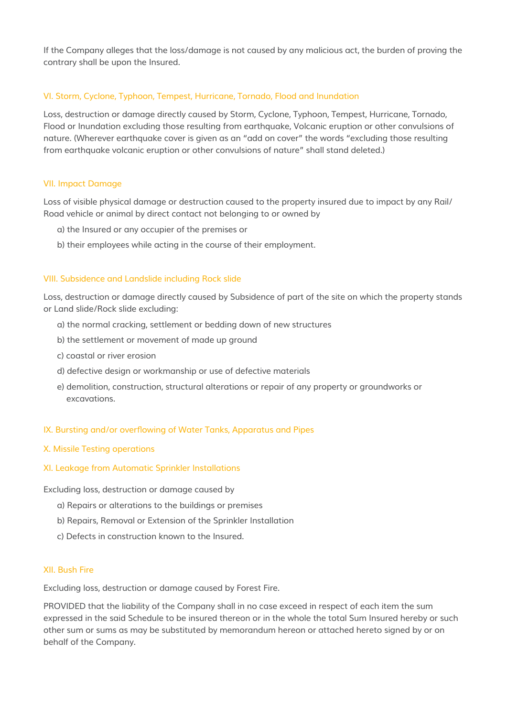If the Company alleges that the loss/damage is not caused by any malicious act, the burden of proving the contrary shall be upon the Insured.

# VI. Storm, Cyclone, Typhoon, Tempest, Hurricane, Tornado, Flood and Inundation

Loss, destruction or damage directly caused by Storm, Cyclone, Typhoon, Tempest, Hurricane, Tornado, Flood or Inundation excluding those resulting from earthquake, Volcanic eruption or other convulsions of nature. (Wherever earthquake cover is given as an "add on cover" the words "excluding those resulting from earthquake volcanic eruption or other convulsions of nature" shall stand deleted.)

#### VII. Impact Damage

Loss of visible physical damage or destruction caused to the property insured due to impact by any Rail/ Road vehicle or animal by direct contact not belonging to or owned by

- a) the Insured or any occupier of the premises or
- b) their employees while acting in the course of their employment.

#### VIII. Subsidence and Landslide including Rock slide

Loss, destruction or damage directly caused by Subsidence of part of the site on which the property stands or Land slide/Rock slide excluding:

- a) the normal cracking, settlement or bedding down of new structures
- b) the settlement or movement of made up ground
- c) coastal or river erosion
- d) defective design or workmanship or use of defective materials
- e) demolition, construction, structural alterations or repair of any property or groundworks or excavations.

#### IX. Bursting and/or overflowing of Water Tanks, Apparatus and Pipes

#### X. Missile Testing operations

#### XI. Leakage from Automatic Sprinkler Installations

Excluding loss, destruction or damage caused by

- a) Repairs or alterations to the buildings or premises
- b) Repairs, Removal or Extension of the Sprinkler Installation
- c) Defects in construction known to the Insured.

#### XII. Bush Fire

Excluding loss, destruction or damage caused by Forest Fire.

PROVIDED that the liability of the Company shall in no case exceed in respect of each item the sum expressed in the said Schedule to be insured thereon or in the whole the total Sum Insured hereby or such other sum or sums as may be substituted by memorandum hereon or attached hereto signed by or on behalf of the Company.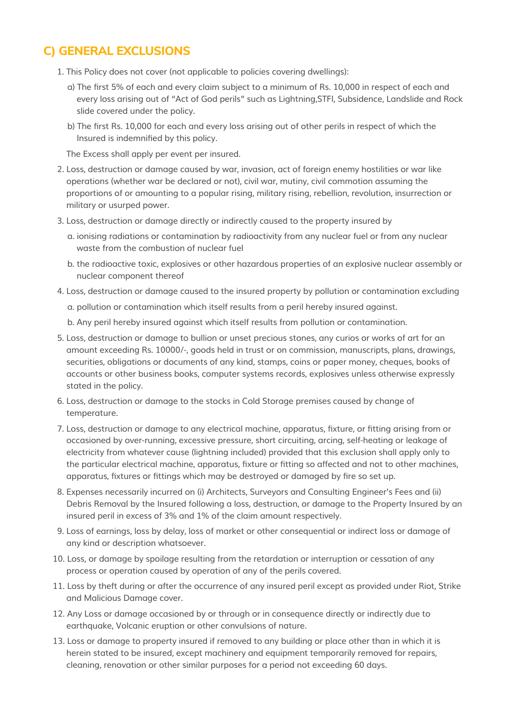# **C) GENERAL EXCLUSIONS**

- 1. This Policy does not cover (not applicable to policies covering dwellings):
	- a) The first 5% of each and every claim subject to a minimum of Rs. 10,000 in respect of each and every loss arising out of "Act of God perils" such as Lightning,STFI, Subsidence, Landslide and Rock slide covered under the policy.
	- b) The first Rs. 10,000 for each and every loss arising out of other perils in respect of which the Insured is indemnified by this policy.

The Excess shall apply per event per insured.

- 2. Loss, destruction or damage caused by war, invasion, act of foreign enemy hostilities or war like operations (whether war be declared or not), civil war, mutiny, civil commotion assuming the proportions of or amounting to a popular rising, military rising, rebellion, revolution, insurrection or military or usurped power.
- 3. Loss, destruction or damage directly or indirectly caused to the property insured by
	- a. ionising radiations or contamination by radioactivity from any nuclear fuel or from any nuclear waste from the combustion of nuclear fuel
	- b. the radioactive toxic, explosives or other hazardous properties of an explosive nuclear assembly or nuclear component thereof
- 4. Loss, destruction or damage caused to the insured property by pollution or contamination excluding

a. pollution or contamination which itself results from a peril hereby insured against.

b. Any peril hereby insured against which itself results from pollution or contamination.

- 5. Loss, destruction or damage to bullion or unset precious stones, any curios or works of art for an amount exceeding Rs. 10000/-, goods held in trust or on commission, manuscripts, plans, drawings, securities, obligations or documents of any kind, stamps, coins or paper money, cheques, books of accounts or other business books, computer systems records, explosives unless otherwise expressly stated in the policy.
- 6. Loss, destruction or damage to the stocks in Cold Storage premises caused by change of temperature.
- 7. Loss, destruction or damage to any electrical machine, apparatus, fixture, or fitting arising from or occasioned by over-running, excessive pressure, short circuiting, arcing, self-heating or leakage of electricity from whatever cause (lightning included) provided that this exclusion shall apply only to the particular electrical machine, apparatus, fixture or fitting so affected and not to other machines, apparatus, fixtures or fittings which may be destroyed or damaged by fire so set up.
- 8. Expenses necessarily incurred on (i) Architects, Surveyors and Consulting Engineer's Fees and (ii) Debris Removal by the Insured following a loss, destruction, or damage to the Property Insured by an insured peril in excess of 3% and 1% of the claim amount respectively.
- 9. Loss of earnings, loss by delay, loss of market or other consequential or indirect loss or damage of any kind or description whatsoever.
- 10. Loss, or damage by spoilage resulting from the retardation or interruption or cessation of any process or operation caused by operation of any of the perils covered.
- 11. Loss by theft during or after the occurrence of any insured peril except as provided under Riot, Strike and Malicious Damage cover.
- 12. Any Loss or damage occasioned by or through or in consequence directly or indirectly due to earthquake, Volcanic eruption or other convulsions of nature.
- 13. Loss or damage to property insured if removed to any building or place other than in which it is herein stated to be insured, except machinery and equipment temporarily removed for repairs, cleaning, renovation or other similar purposes for a period not exceeding 60 days.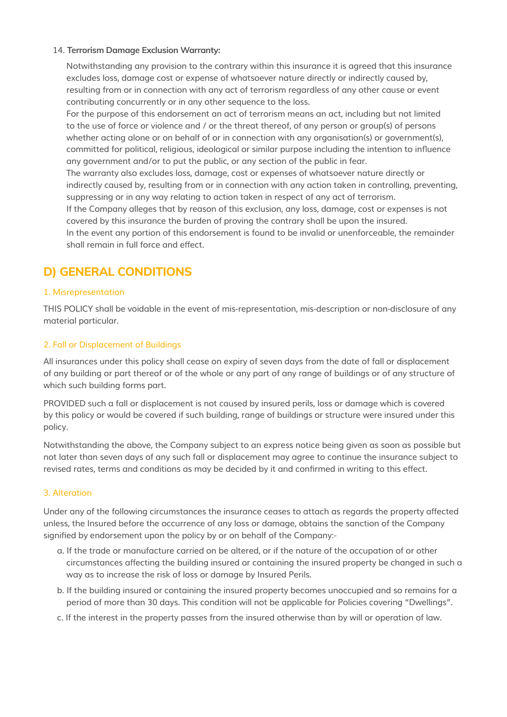## 14. **Terrorism Damage Exclusion Warranty:**

 Notwithstanding any provision to the contrary within this insurance it is agreed that this insurance excludes loss, damage cost or expense of whatsoever nature directly or indirectly caused by, resulting from or in connection with any act of terrorism regardless of any other cause or event contributing concurrently or in any other sequence to the loss.

For the purpose of this endorsement an act of terrorism means an act, including but not limited to the use of force or violence and / or the threat thereof, of any person or group(s) of persons whether acting alone or on behalf of or in connection with any organisation(s) or government(s), committed for political, religious, ideological or similar purpose including the intention to influence any government and/or to put the public, or any section of the public in fear.

The warranty also excludes loss, damage, cost or expenses of whatsoever nature directly or indirectly caused by, resulting from or in connection with any action taken in controlling, preventing, suppressing or in any way relating to action taken in respect of any act of terrorism. If the Company alleges that by reason of this exclusion, any loss, damage, cost or expenses is not

covered by this insurance the burden of proving the contrary shall be upon the insured.

In the event any portion of this endorsement is found to be invalid or unenforceable, the remainder shall remain in full force and effect.

# **D) GENERAL CONDITIONS**

# 1. Misrepresentation

THIS POLICY shall be voidable in the event of mis-representation, mis-description or non-disclosure of any material particular.

# 2. Fall or Displacement of Buildings

All insurances under this policy shall cease on expiry of seven days from the date of fall or displacement of any building or part thereof or of the whole or any part of any range of buildings or of any structure of which such building forms part.

PROVIDED such a fall or displacement is not caused by insured perils, loss or damage which is covered by this policy or would be covered if such building, range of buildings or structure were insured under this policy.

Notwithstanding the above, the Company subject to an express notice being given as soon as possible but not later than seven days of any such fall or displacement may agree to continue the insurance subject to revised rates, terms and conditions as may be decided by it and confirmed in writing to this effect.

# 3. Alteration

Under any of the following circumstances the insurance ceases to attach as regards the property affected unless, the Insured before the occurrence of any loss or damage, obtains the sanction of the Company signified by endorsement upon the policy by or on behalf of the Company:-

- a. If the trade or manufacture carried on be altered, or if the nature of the occupation of or other circumstances affecting the building insured or containing the insured property be changed in such a way as to increase the risk of loss or damage by Insured Perils.
- b. If the building insured or containing the insured property becomes unoccupied and so remains for a period of more than 30 days. This condition will not be applicable for Policies covering "Dwellings".
- c. If the interest in the property passes from the insured otherwise than by will or operation of law.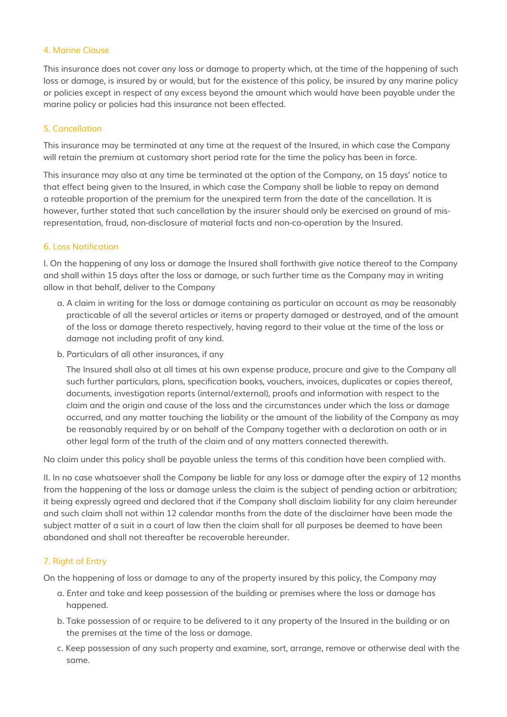### 4. Marine Clause

This insurance does not cover any loss or damage to property which, at the time of the happening of such loss or damage, is insured by or would, but for the existence of this policy, be insured by any marine policy or policies except in respect of any excess beyond the amount which would have been payable under the marine policy or policies had this insurance not been effected.

## 5. Cancellation

This insurance may be terminated at any time at the request of the Insured, in which case the Company will retain the premium at customary short period rate for the time the policy has been in force.

This insurance may also at any time be terminated at the option of the Company, on 15 days' notice to that effect being given to the Insured, in which case the Company shall be liable to repay on demand a rateable proportion of the premium for the unexpired term from the date of the cancellation. It is however, further stated that such cancellation by the insurer should only be exercised on ground of misrepresentation, fraud, non-disclosure of material facts and non-co-operation by the Insured.

## 6. Loss Notification

I. On the happening of any loss or damage the Insured shall forthwith give notice thereof to the Company and shall within 15 days after the loss or damage, or such further time as the Company may in writing allow in that behalf, deliver to the Company

- a. A claim in writing for the loss or damage containing as particular an account as may be reasonably practicable of all the several articles or items or property damaged or destroyed, and of the amount of the loss or damage thereto respectively, having regard to their value at the time of the loss or damage not including profit of any kind.
- b. Particulars of all other insurances, if any

The Insured shall also at all times at his own expense produce, procure and give to the Company all such further particulars, plans, specification books, vouchers, invoices, duplicates or copies thereof, documents, investigation reports (internal/external), proofs and information with respect to the claim and the origin and cause of the loss and the circumstances under which the loss or damage occurred, and any matter touching the liability or the amount of the liability of the Company as may be reasonably required by or on behalf of the Company together with a declaration on oath or in other legal form of the truth of the claim and of any matters connected therewith.

No claim under this policy shall be payable unless the terms of this condition have been complied with.

II. In no case whatsoever shall the Company be liable for any loss or damage after the expiry of 12 months from the happening of the loss or damage unless the claim is the subject of pending action or arbitration; it being expressly agreed and declared that if the Company shall disclaim liability for any claim hereunder and such claim shall not within 12 calendar months from the date of the disclaimer have been made the subject matter of a suit in a court of law then the claim shall for all purposes be deemed to have been abandoned and shall not thereafter be recoverable hereunder.

# 7. Right of Entry

On the happening of loss or damage to any of the property insured by this policy, the Company may

- a. Enter and take and keep possession of the building or premises where the loss or damage has happened.
- b. Take possession of or require to be delivered to it any property of the Insured in the building or on the premises at the time of the loss or damage.
- c. Keep possession of any such property and examine, sort, arrange, remove or otherwise deal with the same.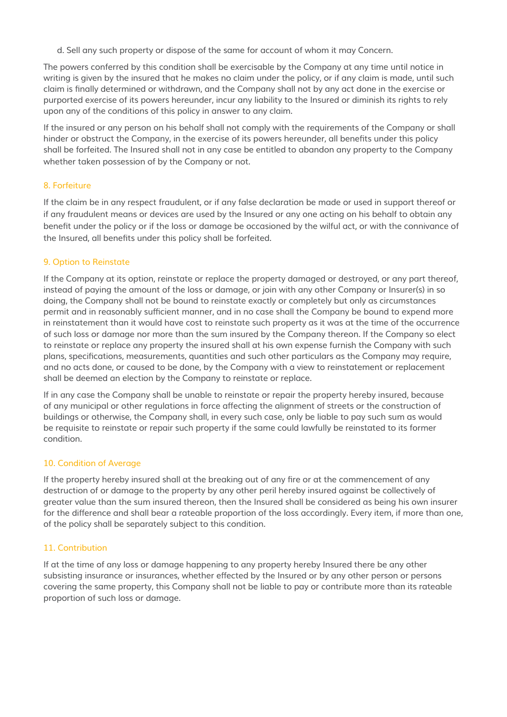d. Sell any such property or dispose of the same for account of whom it may Concern.

The powers conferred by this condition shall be exercisable by the Company at any time until notice in writing is given by the insured that he makes no claim under the policy, or if any claim is made, until such claim is finally determined or withdrawn, and the Company shall not by any act done in the exercise or purported exercise of its powers hereunder, incur any liability to the Insured or diminish its rights to rely upon any of the conditions of this policy in answer to any claim.

If the insured or any person on his behalf shall not comply with the requirements of the Company or shall hinder or obstruct the Company, in the exercise of its powers hereunder, all benefits under this policy shall be forfeited. The Insured shall not in any case be entitled to abandon any property to the Company whether taken possession of by the Company or not.

# 8. Forfeiture

If the claim be in any respect fraudulent, or if any false declaration be made or used in support thereof or if any fraudulent means or devices are used by the Insured or any one acting on his behalf to obtain any benefit under the policy or if the loss or damage be occasioned by the wilful act, or with the connivance of the Insured, all benefits under this policy shall be forfeited.

## 9. Option to Reinstate

If the Company at its option, reinstate or replace the property damaged or destroyed, or any part thereof, instead of paying the amount of the loss or damage, or join with any other Company or Insurer(s) in so doing, the Company shall not be bound to reinstate exactly or completely but only as circumstances permit and in reasonably sufficient manner, and in no case shall the Company be bound to expend more in reinstatement than it would have cost to reinstate such property as it was at the time of the occurrence of such loss or damage nor more than the sum insured by the Company thereon. If the Company so elect to reinstate or replace any property the insured shall at his own expense furnish the Company with such plans, specifications, measurements, quantities and such other particulars as the Company may require, and no acts done, or caused to be done, by the Company with a view to reinstatement or replacement shall be deemed an election by the Company to reinstate or replace.

If in any case the Company shall be unable to reinstate or repair the property hereby insured, because of any municipal or other regulations in force affecting the alignment of streets or the construction of buildings or otherwise, the Company shall, in every such case, only be liable to pay such sum as would be requisite to reinstate or repair such property if the same could lawfully be reinstated to its former condition.

#### 10. Condition of Average

If the property hereby insured shall at the breaking out of any fire or at the commencement of any destruction of or damage to the property by any other peril hereby insured against be collectively of greater value than the sum insured thereon, then the Insured shall be considered as being his own insurer for the difference and shall bear a rateable proportion of the loss accordingly. Every item, if more than one, of the policy shall be separately subject to this condition.

#### 11. Contribution

If at the time of any loss or damage happening to any property hereby Insured there be any other subsisting insurance or insurances, whether effected by the Insured or by any other person or persons covering the same property, this Company shall not be liable to pay or contribute more than its rateable proportion of such loss or damage.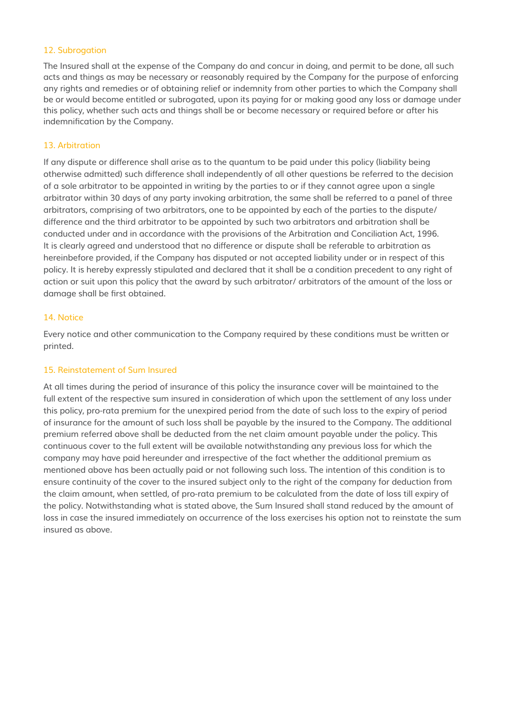#### 12. Subrogation

The Insured shall at the expense of the Company do and concur in doing, and permit to be done, all such acts and things as may be necessary or reasonably required by the Company for the purpose of enforcing any rights and remedies or of obtaining relief or indemnity from other parties to which the Company shall be or would become entitled or subrogated, upon its paying for or making good any loss or damage under this policy, whether such acts and things shall be or become necessary or required before or after his indemnification by the Company.

# 13. Arbitration

If any dispute or difference shall arise as to the quantum to be paid under this policy (liability being otherwise admitted) such difference shall independently of all other questions be referred to the decision of a sole arbitrator to be appointed in writing by the parties to or if they cannot agree upon a single arbitrator within 30 days of any party invoking arbitration, the same shall be referred to a panel of three arbitrators, comprising of two arbitrators, one to be appointed by each of the parties to the dispute/ difference and the third arbitrator to be appointed by such two arbitrators and arbitration shall be conducted under and in accordance with the provisions of the Arbitration and Conciliation Act, 1996. It is clearly agreed and understood that no difference or dispute shall be referable to arbitration as hereinbefore provided, if the Company has disputed or not accepted liability under or in respect of this policy. It is hereby expressly stipulated and declared that it shall be a condition precedent to any right of action or suit upon this policy that the award by such arbitrator/ arbitrators of the amount of the loss or damage shall be first obtained.

#### 14. Notice

Every notice and other communication to the Company required by these conditions must be written or printed.

#### 15. Reinstatement of Sum Insured

At all times during the period of insurance of this policy the insurance cover will be maintained to the full extent of the respective sum insured in consideration of which upon the settlement of any loss under this policy, pro-rata premium for the unexpired period from the date of such loss to the expiry of period of insurance for the amount of such loss shall be payable by the insured to the Company. The additional premium referred above shall be deducted from the net claim amount payable under the policy. This continuous cover to the full extent will be available notwithstanding any previous loss for which the company may have paid hereunder and irrespective of the fact whether the additional premium as mentioned above has been actually paid or not following such loss. The intention of this condition is to ensure continuity of the cover to the insured subject only to the right of the company for deduction from the claim amount, when settled, of pro-rata premium to be calculated from the date of loss till expiry of the policy. Notwithstanding what is stated above, the Sum Insured shall stand reduced by the amount of loss in case the insured immediately on occurrence of the loss exercises his option not to reinstate the sum insured as above.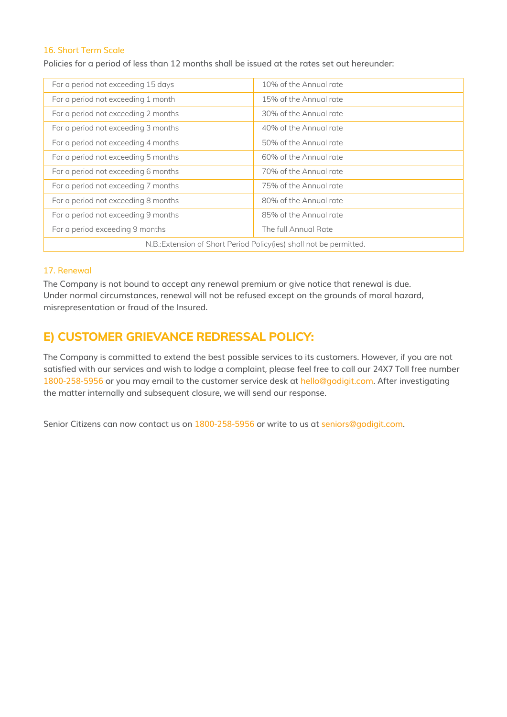### 16. Short Term Scale

Policies for a period of less than 12 months shall be issued at the rates set out hereunder:

| For a period not exceeding 15 days                                   | 10% of the Annual rate |  |
|----------------------------------------------------------------------|------------------------|--|
| For a period not exceeding 1 month                                   | 15% of the Annual rate |  |
| For a period not exceeding 2 months                                  | 30% of the Annual rate |  |
| For a period not exceeding 3 months                                  | 40% of the Annual rate |  |
| For a period not exceeding 4 months                                  | 50% of the Annual rate |  |
| For a period not exceeding 5 months                                  | 60% of the Annual rate |  |
| For a period not exceeding 6 months                                  | 70% of the Annual rate |  |
| For a period not exceeding 7 months                                  | 75% of the Annual rate |  |
| For a period not exceeding 8 months                                  | 80% of the Annual rate |  |
| For a period not exceeding 9 months                                  | 85% of the Annual rate |  |
| For a period exceeding 9 months                                      | The full Annual Rate   |  |
| N.B.: Extension of Short Period Policy (ies) shall not be permitted. |                        |  |

#### 17. Renewal

The Company is not bound to accept any renewal premium or give notice that renewal is due. Under normal circumstances, renewal will not be refused except on the grounds of moral hazard, misrepresentation or fraud of the Insured.

# **E) CUSTOMER GRIEVANCE REDRESSAL POLICY:**

The Company is committed to extend the best possible services to its customers. However, if you are not satisfied with our services and wish to lodge a complaint, please feel free to call our 24X7 Toll free number 1800-258-5956 or you may email to the customer service desk at hello@godigit.com. After investigating the matter internally and subsequent closure, we will send our response.

Senior Citizens can now contact us on 1800-258-5956 or write to us at seniors@godigit.com.